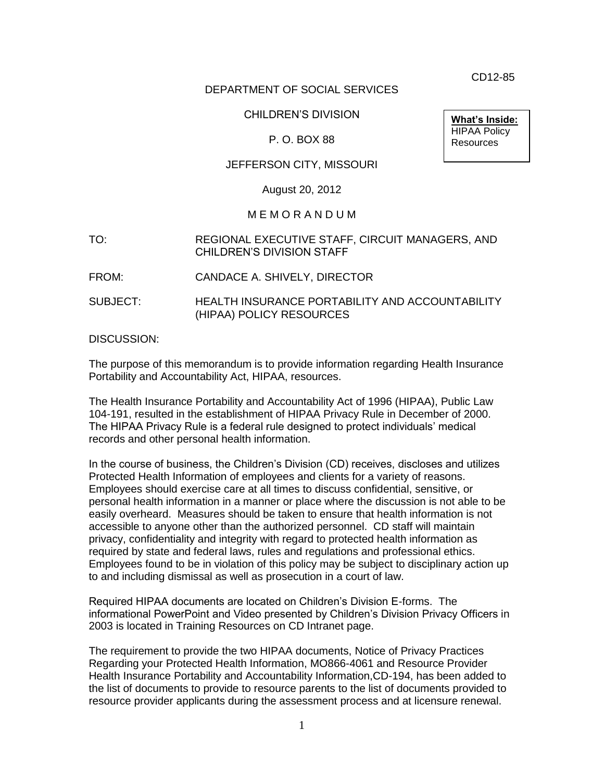CD12-85

#### DEPARTMENT OF SOCIAL SERVICES

#### CHILDREN'S DIVISION

#### P. O. BOX 88

**What's Inside:** HIPAA Policy **Resources** 

## JEFFERSON CITY, MISSOURI

#### August 20, 2012

#### M E M O R A N D U M

#### TO: REGIONAL EXECUTIVE STAFF, CIRCUIT MANAGERS, AND CHILDREN'S DIVISION STAFF

- FROM: CANDACE A. SHIVELY, DIRECTOR
- SUBJECT: HEALTH INSURANCE PORTABILITY AND ACCOUNTABILITY (HIPAA) POLICY RESOURCES

DISCUSSION:

The purpose of this memorandum is to provide information regarding Health Insurance Portability and Accountability Act, HIPAA, resources.

The Health Insurance Portability and Accountability Act of 1996 (HIPAA), Public Law 104-191, resulted in the establishment of HIPAA Privacy Rule in December of 2000. The HIPAA Privacy Rule is a federal rule designed to protect individuals' medical records and other personal health information.

In the course of business, the Children's Division (CD) receives, discloses and utilizes Protected Health Information of employees and clients for a variety of reasons. Employees should exercise care at all times to discuss confidential, sensitive, or personal health information in a manner or place where the discussion is not able to be easily overheard. Measures should be taken to ensure that health information is not accessible to anyone other than the authorized personnel. CD staff will maintain privacy, confidentiality and integrity with regard to protected health information as required by state and federal laws, rules and regulations and professional ethics. Employees found to be in violation of this policy may be subject to disciplinary action up to and including dismissal as well as prosecution in a court of law.

Required HIPAA documents are located on Children's Division E-forms. The informational PowerPoint and Video presented by Children's Division Privacy Officers in 2003 is located in Training Resources on CD Intranet page.

The requirement to provide the two HIPAA documents, Notice of Privacy Practices Regarding your Protected Health Information, MO866-4061 and Resource Provider Health Insurance Portability and Accountability Information,CD-194, has been added to the list of documents to provide to resource parents to the list of documents provided to resource provider applicants during the assessment process and at licensure renewal.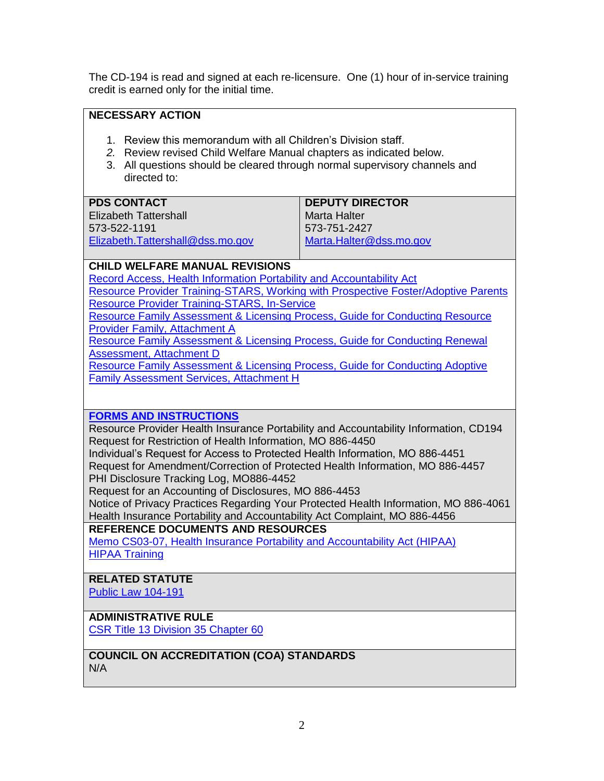The CD-194 is read and signed at each re-licensure. One (1) hour of in-service training credit is earned only for the initial time.

# **NECESSARY ACTION**

- 1. Review this memorandum with all Children's Division staff.
- *2.* Review revised Child Welfare Manual chapters as indicated below.
- 3. All questions should be cleared through normal supervisory channels and directed to:

| <b>PDS CONTACT</b>               | <b>DEPUTY DIRECTOR</b>  |
|----------------------------------|-------------------------|
| Elizabeth Tattershall            | Marta Halter            |
| 573-522-1191                     | 573-751-2427            |
| Elizabeth.Tattershall@dss.mo.gov | Marta.Halter@dss.mo.gov |

## **CHILD WELFARE MANUAL REVISIONS**

[Record Access, Health Information Portability and Accountability Act](http://dss.mo.gov/cd/info/cwmanual/section5/ch2/sec5ch2sub7.htm) [Resource Provider Training-STARS, Working with Prospective Foster/Adoptive Parents](http://dss.mo.gov/cd/info/cwmanual/section6/ch2/sec6ch2sub2.htm) [Resource Provider Training-STARS, In-Service](http://dss.mo.gov/cd/info/cwmanual/section6/ch2/sec6ch2sub5.htm)

[Resource Family Assessment & Licensing Process, Guide for Conducting Resource](http://dss.mo.gov/cd/info/cwmanual/section6/ch3/sec6ch3attacha.htm)  [Provider Family, Attachment A](http://dss.mo.gov/cd/info/cwmanual/section6/ch3/sec6ch3attacha.htm)

[Resource Family Assessment & Licensing Process, Guide for Conducting Renewal](http://dss.mo.gov/cd/info/cwmanual/section6/ch3/sec6ch3attachd.htm)  [Assessment, Attachment D](http://dss.mo.gov/cd/info/cwmanual/section6/ch3/sec6ch3attachd.htm)

[Resource Family Assessment & Licensing Process, Guide for Conducting Adoptive](http://dss.mo.gov/cd/info/cwmanual/section6/ch3/sec6ch3attachh.htm)  [Family Assessment Services, Attachment H](http://dss.mo.gov/cd/info/cwmanual/section6/ch3/sec6ch3attachh.htm)

## **[FORMS AND INSTRUCTIONS](http://dss.mo.gov/cd/info/forms/index.htm)**

Resource Provider Health Insurance Portability and Accountability Information, CD194 Request for Restriction of Health Information, MO 886-4450

Individual's Request for Access to Protected Health Information, MO 886-4451 Request for Amendment/Correction of Protected Health Information, MO 886-4457 PHI Disclosure Tracking Log, MO886-4452

Request for an Accounting of Disclosures, MO 886-4453

Notice of Privacy Practices Regarding Your Protected Health Information, MO 886-4061 Health Insurance Portability and Accountability Act Complaint, MO 886-4456

## **REFERENCE DOCUMENTS AND RESOURCES**

[Memo CS03-07, Health Insurance Portability and Accountability Act \(HIPAA\)](http://dss.mo.gov/cd/info/memos/2003/cs07/cs07.htm) [HIPAA Training](http://dssweb/cs/training/resources/hipaa.htm)

# **RELATED STATUTE**

[Public Law 104-191](http://aspe.hhs.gov/admnsimp/pl104191.htm)

# **ADMINISTRATIVE RULE**

[CSR Title 13](http://www.sos.mo.gov/adrules/csr/current/13csr/13c35-60.pdf) Division 35 Chapter 60

**COUNCIL ON ACCREDITATION (COA) STANDARDS** N/A